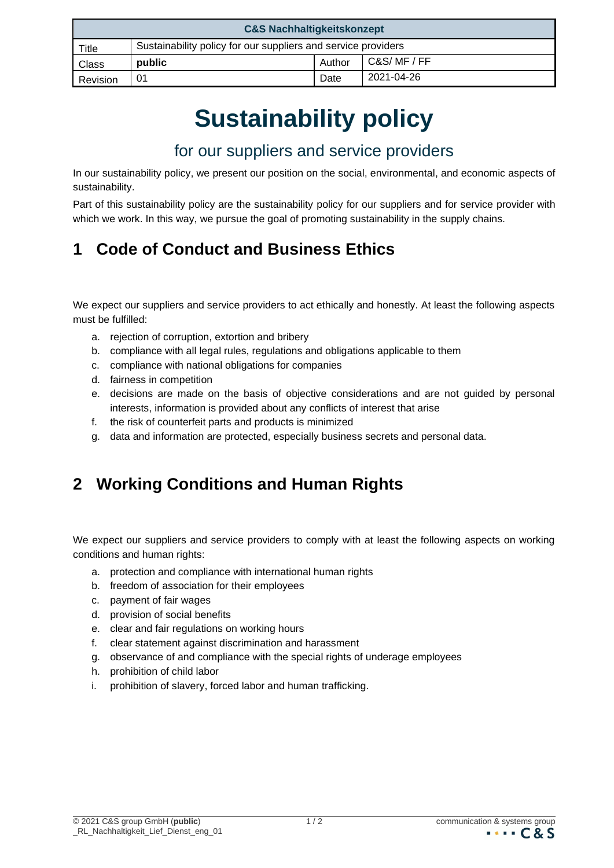| <b>C&amp;S Nachhaltigkeitskonzept</b> |                                                               |        |            |
|---------------------------------------|---------------------------------------------------------------|--------|------------|
| Title                                 | Sustainability policy for our suppliers and service providers |        |            |
| <b>Class</b>                          | public                                                        | Author | C&S/MF/FF  |
| Revision                              | 01                                                            | Date   | 2021-04-26 |

# **Sustainability policy**

### for our suppliers and service providers

In our sustainability policy, we present our position on the social, environmental, and economic aspects of sustainability.

Part of this sustainability policy are the sustainability policy for our suppliers and for service provider with which we work. In this way, we pursue the goal of promoting sustainability in the supply chains.

## **1 Code of Conduct and Business Ethics**

We expect our suppliers and service providers to act ethically and honestly. At least the following aspects must be fulfilled:

- a. rejection of corruption, extortion and bribery
- b. compliance with all legal rules, regulations and obligations applicable to them
- c. compliance with national obligations for companies
- d. fairness in competition
- e. decisions are made on the basis of objective considerations and are not guided by personal interests, information is provided about any conflicts of interest that arise
- f. the risk of counterfeit parts and products is minimized
- g. data and information are protected, especially business secrets and personal data.

## **2 Working Conditions and Human Rights**

We expect our suppliers and service providers to comply with at least the following aspects on working conditions and human rights:

- a. protection and compliance with international human rights
- b. freedom of association for their employees
- c. payment of fair wages
- d. provision of social benefits
- e. clear and fair regulations on working hours
- f. clear statement against discrimination and harassment
- g. observance of and compliance with the special rights of underage employees
- h. prohibition of child labor
- i. prohibition of slavery, forced labor and human trafficking.